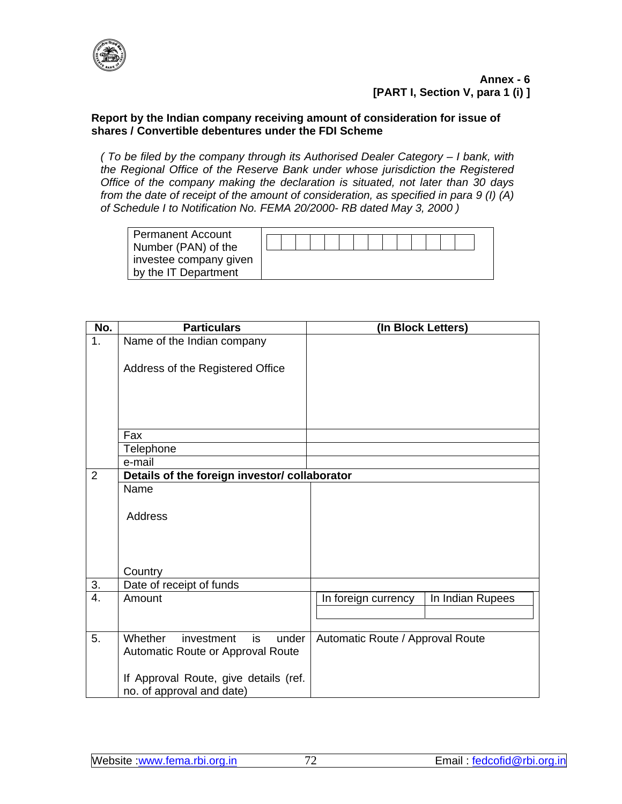

## **Report by the Indian company receiving amount of consideration for issue of shares / Convertible debentures under the FDI Scheme**

*( To be filed by the company through its Authorised Dealer Category – I bank, with the Regional Office of the Reserve Bank under whose jurisdiction the Registered Office of the company making the declaration is situated, not later than 30 days from the date of receipt of the amount of consideration, as specified in para 9 (I) (A) of Schedule I to Notification No. FEMA 20/2000- RB dated May 3, 2000 )* 

| <b>Permanent Account</b> |  |  |  |  |  |  |  |
|--------------------------|--|--|--|--|--|--|--|
| Number (PAN) of the      |  |  |  |  |  |  |  |
| investee company given   |  |  |  |  |  |  |  |
| by the IT Department     |  |  |  |  |  |  |  |

| No.            | <b>Particulars</b>                                                 | (In Block Letters)                      |
|----------------|--------------------------------------------------------------------|-----------------------------------------|
| 1.             | Name of the Indian company                                         |                                         |
|                |                                                                    |                                         |
|                | Address of the Registered Office                                   |                                         |
|                |                                                                    |                                         |
|                |                                                                    |                                         |
|                |                                                                    |                                         |
|                | Fax                                                                |                                         |
|                | Telephone                                                          |                                         |
|                | e-mail                                                             |                                         |
| $\overline{2}$ | Details of the foreign investor/ collaborator                      |                                         |
|                | Name                                                               |                                         |
|                |                                                                    |                                         |
|                | Address                                                            |                                         |
|                |                                                                    |                                         |
|                |                                                                    |                                         |
|                |                                                                    |                                         |
|                | Country                                                            |                                         |
| 3.             | Date of receipt of funds                                           |                                         |
| 4.             | Amount                                                             | In Indian Rupees<br>In foreign currency |
|                |                                                                    |                                         |
|                |                                                                    |                                         |
| 5.             | Whether<br>investment<br>is<br>under                               | Automatic Route / Approval Route        |
|                | Automatic Route or Approval Route                                  |                                         |
|                |                                                                    |                                         |
|                |                                                                    |                                         |
|                | If Approval Route, give details (ref.<br>no. of approval and date) |                                         |